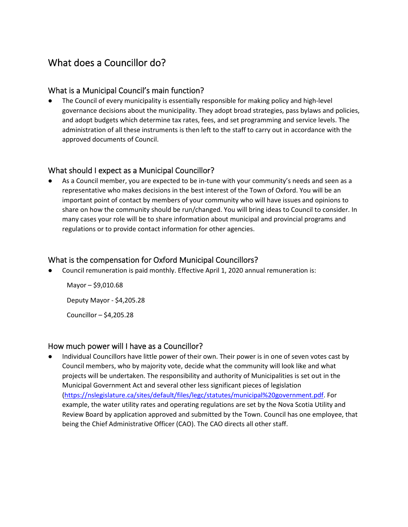# What does a Councillor do?

## What is a Municipal Council's main function?

The Council of every municipality is essentially responsible for making policy and high-level governance decisions about the municipality. They adopt broad strategies, pass bylaws and policies, and adopt budgets which determine tax rates, fees, and set programming and service levels. The administration of all these instruments is then left to the staff to carry out in accordance with the approved documents of Council.

#### What should I expect as a Municipal Councillor?

As a Council member, you are expected to be in-tune with your community's needs and seen as a representative who makes decisions in the best interest of the Town of Oxford. You will be an important point of contact by members of your community who will have issues and opinions to share on how the community should be run/changed. You will bring ideas to Council to consider. In many cases your role will be to share information about municipal and provincial programs and regulations or to provide contact information for other agencies.

## What is the compensation for Oxford Municipal Councillors?

Council remuneration is paid monthly. Effective April 1, 2020 annual remuneration is:

Mayor – \$9,010.68 Deputy Mayor - \$4,205.28 Councillor – \$4,205.28

#### How much power will I have as a Councillor?

Individual Councillors have little power of their own. Their power is in one of seven votes cast by Council members, who by majority vote, decide what the community will look like and what projects will be undertaken. The responsibility and authority of Municipalities is set out in the Municipal Government Act and several other less significant pieces of legislation [\(https://nslegislature.ca/sites/default/files/legc/statutes/municipal%20government.pdf.](https://nslegislature.ca/sites/default/files/legc/statutes/municipal%20government.pdf) For example, the water utility rates and operating regulations are set by the Nova Scotia Utility and Review Board by application approved and submitted by the Town. Council has one employee, that being the Chief Administrative Officer (CAO). The CAO directs all other staff.